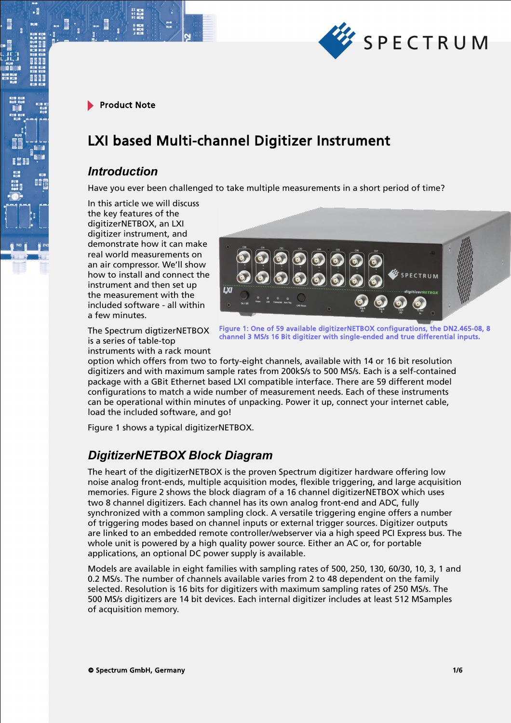

∄٠

# LXI based Multi-channel Digitizer Instrument

#### *Introduction*

Have you ever been challenged to take multiple measurements in a short period of time?

In this article we will discuss the key features of the digitizerNETBOX, an LXI digitizer instrument, and demonstrate how it can make real world measurements on an air compressor. We'll show how to install and connect the instrument and then set up the measurement with the included software - all within a few minutes.



The Spectrum digtizerNETBOX is a series of table-top instruments with a rack mount

Figure 1: One of 59 available digitizerNETBOX configurations, the DN2.465-08, 8 channel 3 MS/s 16 Bit digitizer with single-ended and true differential inputs.

option which offers from two to forty-eight channels, available with 14 or 16 bit resolution digitizers and with maximum sample rates from 200kS/s to 500 MS/s. Each is a self-contained package with a GBit Ethernet based LXI compatible interface. There are 59 different model configurations to match a wide number of measurement needs. Each of these instruments can be operational within minutes of unpacking. Power it up, connect your internet cable, load the included software, and go!

Figure 1 shows a typical digitizerNETBOX.

### *DigitizerNETBOX Block Diagram*

The heart of the digitizerNETBOX is the proven Spectrum digitizer hardware offering low noise analog front-ends, multiple acquisition modes, flexible triggering, and large acquisition memories. Figure 2 shows the block diagram of a 16 channel digitizerNETBOX which uses two 8 channel digitizers. Each channel has its own analog front-end and ADC, fully synchronized with a common sampling clock. A versatile triggering engine offers a number of triggering modes based on channel inputs or external trigger sources. Digitizer outputs are linked to an embedded remote controller/webserver via a high speed PCI Express bus. The whole unit is powered by a high quality power source. Either an AC or, for portable applications, an optional DC power supply is available.

Models are available in eight families with sampling rates of 500, 250, 130, 60/30, 10, 3, 1 and 0.2 MS/s. The number of channels available varies from 2 to 48 dependent on the family selected. Resolution is 16 bits for digitizers with maximum sampling rates of 250 MS/s. The 500 MS/s digitizers are 14 bit devices. Each internal digitizer includes at least 512 MSamples of acquisition memory.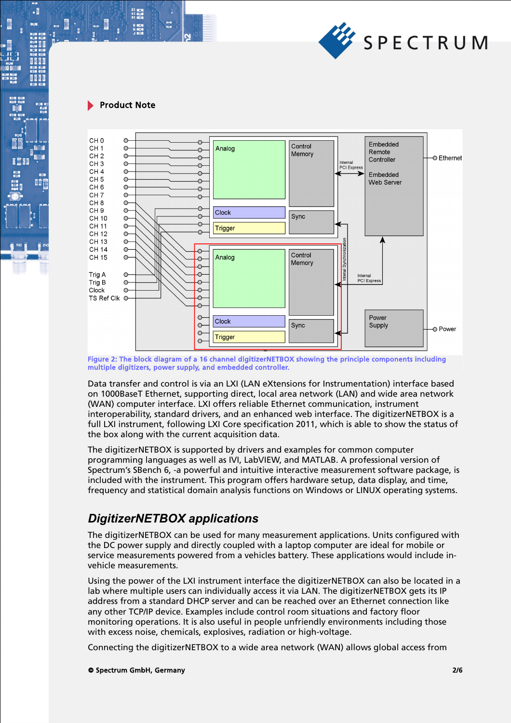

21 mm<br>サービス<br>91 mm

 $\cdot$ 

**BEEF** 

瞪



Figure 2: The block diagram of a 16 channel digitizerNETBOX showing the principle components including multiple digitizers, power supply, and embedded controller.

Data transfer and control is via an LXI (LAN eXtensions for Instrumentation) interface based on 1000BaseT Ethernet, supporting direct, local area network (LAN) and wide area network (WAN) computer interface. LXI offers reliable Ethernet communication, instrument interoperability, standard drivers, and an enhanced web interface. The digitizerNETBOX is a full LXI instrument, following LXI Core specification 2011, which is able to show the status of the box along with the current acquisition data.

The digitizerNETBOX is supported by drivers and examples for common computer programming languages as well as IVI, LabVIEW, and MATLAB. A professional version of Spectrum's SBench 6, -a powerful and intuitive interactive measurement software package, is included with the instrument. This program offers hardware setup, data display, and time, frequency and statistical domain analysis functions on Windows or LINUX operating systems.

### *DigitizerNETBOX applications*

The digitizerNETBOX can be used for many measurement applications. Units configured with the DC power supply and directly coupled with a laptop computer are ideal for mobile or service measurements powered from a vehicles battery. These applications would include invehicle measurements.

Using the power of the LXI instrument interface the digitizerNETBOX can also be located in a lab where multiple users can individually access it via LAN. The digitizerNETBOX gets its IP address from a standard DHCP server and can be reached over an Ethernet connection like any other TCP/IP device. Examples include control room situations and factory floor monitoring operations. It is also useful in people unfriendly environments including those with excess noise, chemicals, explosives, radiation or high-voltage.

Connecting the digitizerNETBOX to a wide area network (WAN) allows global access from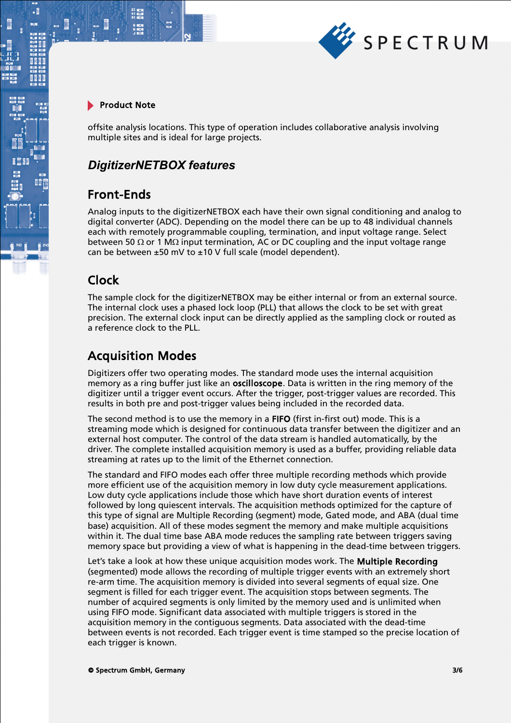

.

offsite analysis locations. This type of operation includes collaborative analysis involving multiple sites and is ideal for large projects.

### *DigitizerNETBOX features*

### Front-Ends

Analog inputs to the digitizerNETBOX each have their own signal conditioning and analog to digital converter (ADC). Depending on the model there can be up to 48 individual channels each with remotely programmable coupling, termination, and input voltage range. Select between 50  $\Omega$  or 1 M $\Omega$  input termination, AC or DC coupling and the input voltage range can be between  $\pm 50$  mV to  $\pm 10$  V full scale (model dependent).

### Clock

The sample clock for the digitizerNETBOX may be either internal or from an external source. The internal clock uses a phased lock loop (PLL) that allows the clock to be set with great precision. The external clock input can be directly applied as the sampling clock or routed as a reference clock to the PLL.

### Acquisition Modes

Digitizers offer two operating modes. The standard mode uses the internal acquisition memory as a ring buffer just like an **oscilloscope**. Data is written in the ring memory of the digitizer until a trigger event occurs. After the trigger, post-trigger values are recorded. This results in both pre and post-trigger values being included in the recorded data.

The second method is to use the memory in a FIFO (first in-first out) mode. This is a streaming mode which is designed for continuous data transfer between the digitizer and an external host computer. The control of the data stream is handled automatically, by the driver. The complete installed acquisition memory is used as a buffer, providing reliable data streaming at rates up to the limit of the Ethernet connection.

The standard and FIFO modes each offer three multiple recording methods which provide more efficient use of the acquisition memory in low duty cycle measurement applications. Low duty cycle applications include those which have short duration events of interest followed by long quiescent intervals. The acquisition methods optimized for the capture of this type of signal are Multiple Recording (segment) mode, Gated mode, and ABA (dual time base) acquisition. All of these modes segment the memory and make multiple acquisitions within it. The dual time base ABA mode reduces the sampling rate between triggers saving memory space but providing a view of what is happening in the dead-time between triggers.

Let's take a look at how these unique acquisition modes work. The Multiple Recording (segmented) mode allows the recording of multiple trigger events with an extremely short re-arm time. The acquisition memory is divided into several segments of equal size. One segment is filled for each trigger event. The acquisition stops between segments. The number of acquired segments is only limited by the memory used and is unlimited when using FIFO mode. Significant data associated with multiple triggers is stored in the acquisition memory in the contiguous segments. Data associated with the dead-time between events is not recorded. Each trigger event is time stamped so the precise location of each trigger is known.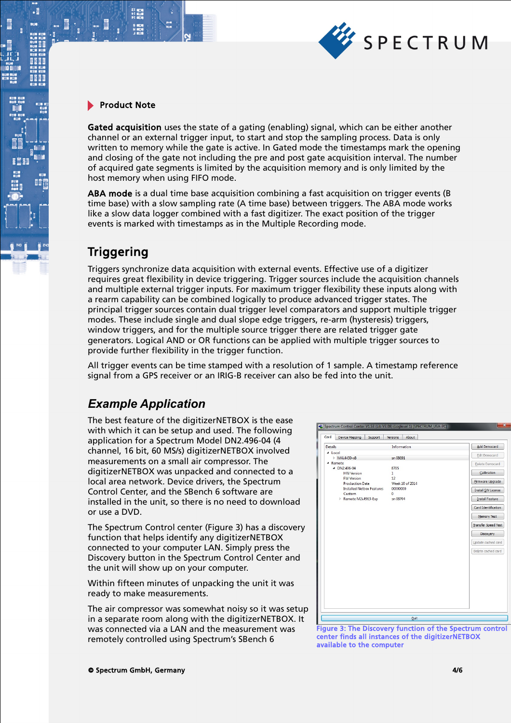

21 mm<br>サービス<br>91 mm

 $\cdot$ 

BÔ

Gated acquisition uses the state of a gating (enabling) signal, which can be either another channel or an external trigger input, to start and stop the sampling process. Data is only written to memory while the gate is active. In Gated mode the timestamps mark the opening and closing of the gate not including the pre and post gate acquisition interval. The number of acquired gate segments is limited by the acquisition memory and is only limited by the host memory when using FIFO mode.

ABA mode is a dual time base acquisition combining a fast acquisition on trigger events (B time base) with a slow sampling rate (A time base) between triggers. The ABA mode works like a slow data logger combined with a fast digitizer. The exact position of the trigger events is marked with timestamps as in the Multiple Recording mode.

## **Triggering**

Triggers synchronize data acquisition with external events. Effective use of a digitizer requires great flexibility in device triggering. Trigger sources include the acquisition channels and multiple external trigger inputs. For maximum trigger flexibility these inputs along with a rearm capability can be combined logically to produce advanced trigger states. The principal trigger sources contain dual trigger level comparators and support multiple trigger modes. These include single and dual slope edge triggers, re-arm (hysteresis) triggers, window triggers, and for the multiple source trigger there are related trigger gate generators. Logical AND or OR functions can be applied with multiple trigger sources to provide further flexibility in the trigger function.

All trigger events can be time stamped with a resolution of 1 sample. A timestamp reference signal from a GPS receiver or an IRIG-B receiver can also be fed into the unit.

## *Example Application*

The best feature of the digitizerNETBOX is the ease with which it can be setup and used. The following application for a Spectrum Model DN2.496-04 (4 channel, 16 bit, 60 MS/s) digitizerNETBOX involved measurements on a small air compressor. The digitizerNETBOX was unpacked and connected to a local area network. Device drivers, the Spectrum Control Center, and the SBench 6 software are installed in the unit, so there is no need to download or use a DVD.

The Spectrum Control center (Figure 3) has a discovery function that helps identify any digitizerNETBOX connected to your computer LAN. Simply press the Discovery button in the Spectrum Control Center and the unit will show up on your computer.

Within fifteen minutes of unpacking the unit it was ready to make measurements.

The air compressor was somewhat noisy so it was setup in a separate room along with the digitizerNETBOX. It was connected via a LAN and the measurement was remotely controlled using Spectrum's SBench 6



Figure 3: The Discovery function of the Spectrum control center finds all instances of the digitizerNETBOX available to the computer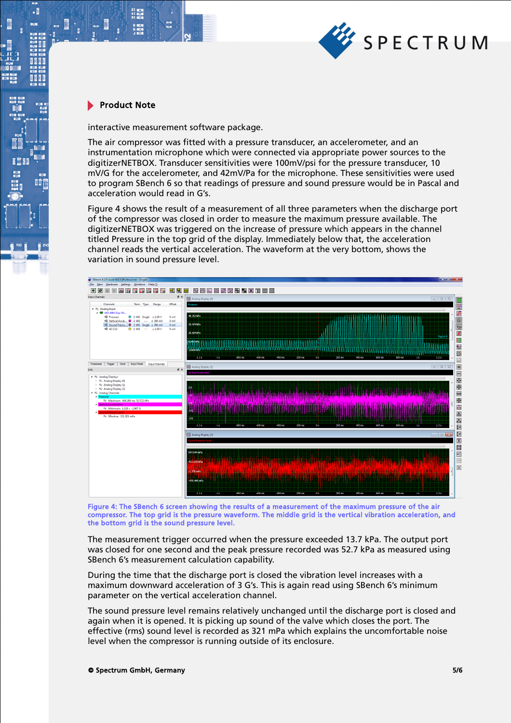

 $\cdot$ 

間

interactive measurement software package.

The air compressor was fitted with a pressure transducer, an accelerometer, and an instrumentation microphone which were connected via appropriate power sources to the digitizerNETBOX. Transducer sensitivities were 100mV/psi for the pressure transducer, 10 mV/G for the accelerometer, and 42mV/Pa for the microphone. These sensitivities were used to program SBench 6 so that readings of pressure and sound pressure would be in Pascal and acceleration would read in G's.

Figure 4 shows the result of a measurement of all three parameters when the discharge port of the compressor was closed in order to measure the maximum pressure available. The digitizerNETBOX was triggered on the increase of pressure which appears in the channel titled Pressure in the top grid of the display. Immediately below that, the acceleration channel reads the vertical acceleration. The waveform at the very bottom, shows the variation in sound pressure level.



Figure 4: The SBench 6 screen showing the results of a measurement of the maximum pressure of the air compressor. The top grid is the pressure waveform. The middle grid is the vertical vibration acceleration, and the bottom grid is the sound pressure level.

The measurement trigger occurred when the pressure exceeded 13.7 kPa. The output port was closed for one second and the peak pressure recorded was 52.7 kPa as measured using SBench 6's measurement calculation capability.

During the time that the discharge port is closed the vibration level increases with a maximum downward acceleration of 3 G's. This is again read using SBench 6's minimum parameter on the vertical acceleration channel.

The sound pressure level remains relatively unchanged until the discharge port is closed and again when it is opened. It is picking up sound of the valve which closes the port. The effective (rms) sound level is recorded as 321 mPa which explains the uncomfortable noise level when the compressor is running outside of its enclosure.